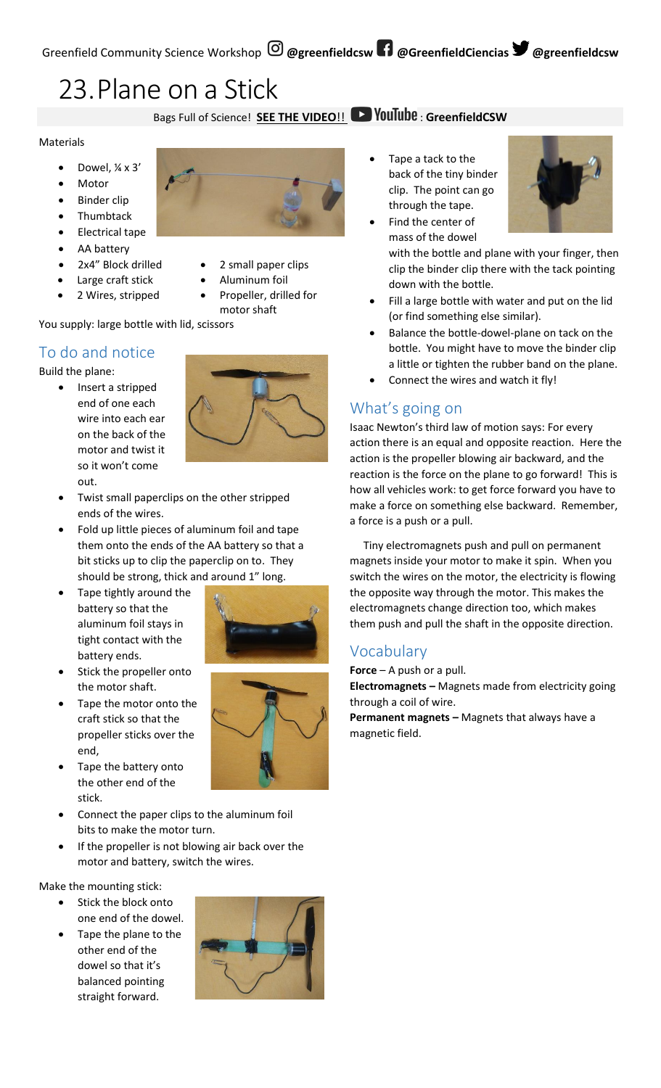# 23.Plane on a Stick

#### Bags Full of Science! **SEE THE VIDEO!! Deviatible : GreenfieldCSW**

#### Materials

- Dowel, ¼ x 3'
- **Motor**
- Binder clip
- Thumbtack
- Electrical tape
- AA battery
- 2x4" Block drilled
- Large craft stick
- 2 Wires, stripped
- 2 small paper clips
- Aluminum foil
- Propeller, drilled for motor shaft

You supply: large bottle with lid, scissors

### To do and notice

Build the plane:

- Insert a stripped end of one each wire into each ear on the back of the motor and twist it so it won't come out.
	- Twist small paperclips on the other stripped ends of the wires.
- Fold up little pieces of aluminum foil and tape them onto the ends of the AA battery so that a bit sticks up to clip the paperclip on to. They should be strong, thick and around 1" long.
- Tape tightly around the battery so that the aluminum foil stays in tight contact with the battery ends.



- Stick the propeller onto the motor shaft.
- Tape the motor onto the craft stick so that the propeller sticks over the end,
- Tape the battery onto the other end of the stick.
- Connect the paper clips to the aluminum foil bits to make the motor turn.
- If the propeller is not blowing air back over the motor and battery, switch the wires.

Make the mounting stick:

- Stick the block onto one end of the dowel.
- Tape the plane to the other end of the dowel so that it's balanced pointing straight forward.



Tape a tack to the back of the tiny binder clip. The point can go through the tape.



- Find the center of mass of the dowel with the bottle and plane with your finger, then clip the binder clip there with the tack pointing down with the bottle.
- Fill a large bottle with water and put on the lid (or find something else similar).
- Balance the bottle-dowel-plane on tack on the bottle. You might have to move the binder clip a little or tighten the rubber band on the plane.
- Connect the wires and watch it fly!

### What's going on

Isaac Newton's third law of motion says: For every action there is an equal and opposite reaction. Here the action is the propeller blowing air backward, and the reaction is the force on the plane to go forward! This is how all vehicles work: to get force forward you have to make a force on something else backward. Remember, a force is a push or a pull.

 Tiny electromagnets push and pull on permanent magnets inside your motor to make it spin. When you switch the wires on the motor, the electricity is flowing the opposite way through the motor. This makes the electromagnets change direction too, which makes them push and pull the shaft in the opposite direction.

# Vocabulary

**Force** – A push or a pull.

**Electromagnets –** Magnets made from electricity going through a coil of wire.

**Permanent magnets –** Magnets that always have a magnetic field.